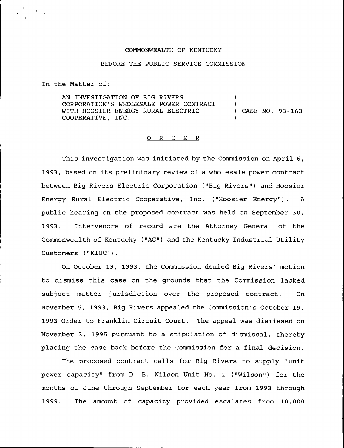## COMMONWEALTH OF KENTUCKY

## BEFORE THE PUBLIC SERVICE COMMISSION

In the Matter of:

AN INVESTIGATION OF BIG R1VERS CORPORATION'S WHOLESALE POWER CONTRACT WITH HOOSIER ENERGY RURAL ELECTRIC COOPERATIVE, INC. ) ) ) CASE NO. 93-163 )

## 0 R <sup>D</sup> E R

This investigation was initiated by the Commission on April 6, 1993, based on its preliminary review of a wholesale power contract between Big Rivers Electric Corporation ("Big Rivers") and Hoosier Energy Rural Electric Cooperative, Inc. ("Hoosier Energy"). A public hearing on the proposed contract was held on September 30, 1993. Intervenors of record are the Attorney General of the Commonwealth of Kentucky ("AG") and the Kentucky Industrial Utility Customers ("KIUC").

On October 19, 1993, the Commission denied Big Rivers' motion to dismiss this case on the grounds that the Commission lacked subject matter jurisdiction over the proposed contract. On November 5, 1993, Big Rivers appealed the Commission's October 19, 1993 Order to Franklin Circuit Court. The appeal was dismissed on November 3, 1995 pursuant to a stipulation of dismissal, thereby placing the case back before the Commission for a final decision.

The proposed contract calls for Big Rivers to supply "unit power capacity" from D. B. Wilson Unit No. 1 ("Wilson") for the months of June through September for each year from 1993 through 1999. The amount of capacity provided escalates from 10,000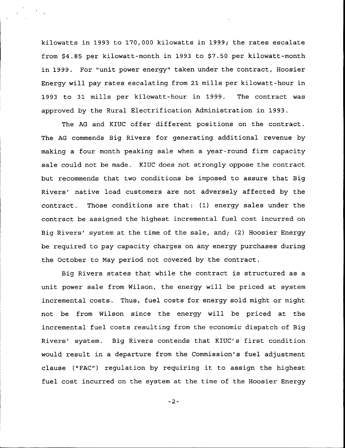kilowatts in 1993 to 170,000 kilowatts in 1999; the rates escalate from \$4.85 per kilowatt-month in 1993 to \$7.50 per kilowatt-month in 1999. For "unit power energy" taken under the contract, Hoosier Energy will pay rates escalating from 21 mills per kilowatt-hour in 1993 to 31 mills per kilowatt-hour in 1999. The contract was approved by the Rural Electrification Administration in 1993.

The AG and KIUC offer different positions on the contract. The AG commends Big Rivers for generating additional revenue by making a four month peaking sale when a year-round firm capacity sale could not be made. KIUC does not strongly oppose the contract but recommends that two conditions be imposed to assure that Big Rivers' native load customers are not adversely affected by the contract. Those conditions are that: (1) energy sales under the contract be assigned the highest incremental fuel cost incurred on Big Rivers' system at the time of the sale, and; (2) Hoosier Energy be required to pay capacity charges on any energy purchases during the Dctober to May period not covered by the contract.

Big Rivers states that while the contract is structured as a unit power sale from Wilson, the energy will be priced at system incremental costs. Thus, fuel costs for energy sold might or might not be from Wilson since the energy will be priced at the incremental fuel costs resulting from the economic dispatch of Big Rivers' system. Big Rivers contends that KIUC's first condition would result in a departure from the Commission's fuel adjustment clause ("FAC") regulation by requiring it to assign the highest fuel cost incurred on the system at the time of the Hoosier Energy

 $-2-$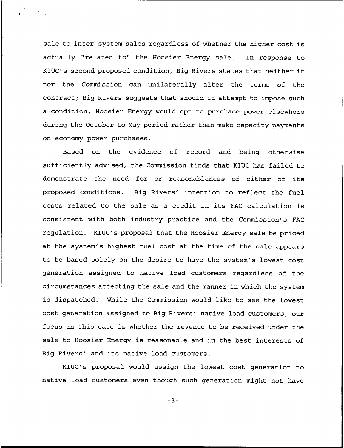sale to inter-system sales regardless of whether the higher cost is actually "related to" the Hoosier Energy sale. In response to KIUC's second proposed condition, Big Rivers states that neither it nor the Commission can unilaterally alter the terms of the contract; Big Rivers suggests that should it attempt to impose such a condition, Hoosier Energy would opt to purchase power elsewhere during the October to May period rather than make capacity payments on economy power purchases.

Based on the evidence of record and being otherwise sufficiently advised, the Commission finds that KIUC has failed to demonstrate the need for or reasonableness of either of its proposed conditions. Big Rivers' intention to reflect the fuel costs related to the sale as <sup>a</sup> credit in its FAC calculation is consistent with both industry practice and the Commission's FAC regulation. KIUC's proposal that the Hoosier Energy sale be priced at the system's highest fuel cost at the time of the sale appears to be based solely on the desire to have the system's lowest cost generation assigned to native load customers regardless of the circumstances affecting the sale and the manner in which the system is dispatched. While the Commission would like to see the lowest cost generation assigned to Big Rivers' native load customers, our focus in this case is whether the revenue to be received under the sale to Hoosier Energy is reasonable and in the best interests of Big Rivers' and its native load customers.

KIUC's proposal would assign the lowest cost generation to native load customers even though such generation might not have

 $-3-$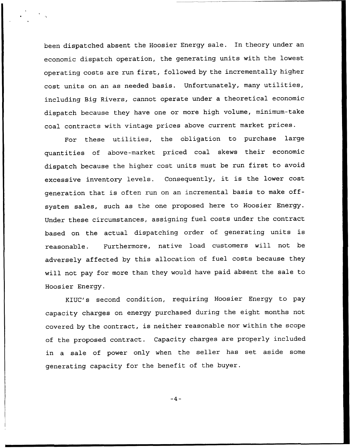been dispatched absent the Hoosier Energy sale. In theory under an economic dispatch operation, the generating units with the lowest operating costs are run first, followed by the incrementally higher cost units on an as needed basis. Unfortunately, many utilities, including Big Rivers, cannot operate under a theoretical economic dispatch because they have one or more high volume, minimum-take coal contracts with vintage prices above current market prices.

For these utilities, the obligation to purchase large quantities of above-market priced coal skews their economic dispatch because the higher cost units must be run first to avoid excessive inventory levels. Consequently, it is the lower cost generation that is often run on an incremental basis to make offsystem sales, such as the one proposed here to Hoosier Energy. Under these circumstances, assigning fuel costs under the contract based on the actual dispatching order of generating units is reasonable. Furthermore, native load customers will not be adversely affected by this allocation of fuel costs because they will not pay for more than they would have paid absent the sale to Hoosier Energy.

KIUC's second condition, requiring Hoosier Energy to pay capacity charges on energy purchased during the eight months not covered by the contract, is neither reasonable nor within the scope of the proposed contract. Capacity charges are properly included in a sale of power only when the seller has set aside some generating capacity for the benefit of the buyer.

 $-4-$